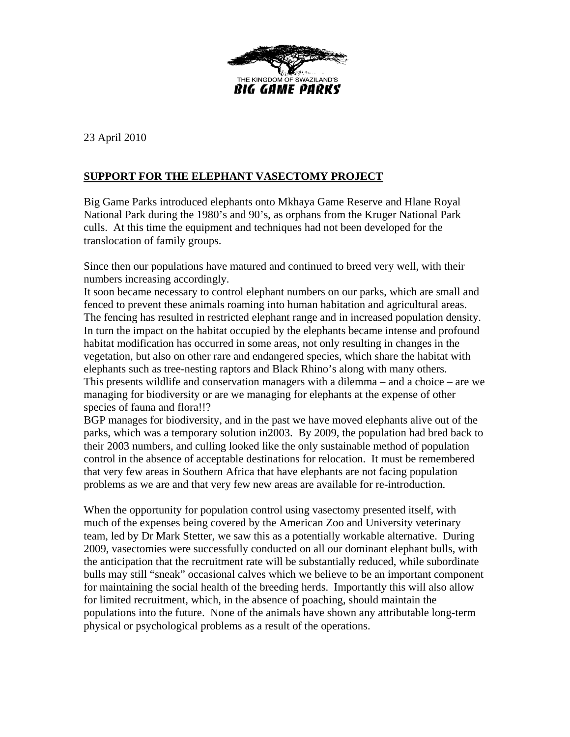

23 April 2010

## **SUPPORT FOR THE ELEPHANT VASECTOMY PROJECT**

Big Game Parks introduced elephants onto Mkhaya Game Reserve and Hlane Royal National Park during the 1980's and 90's, as orphans from the Kruger National Park culls. At this time the equipment and techniques had not been developed for the translocation of family groups.

Since then our populations have matured and continued to breed very well, with their numbers increasing accordingly.

It soon became necessary to control elephant numbers on our parks, which are small and fenced to prevent these animals roaming into human habitation and agricultural areas. The fencing has resulted in restricted elephant range and in increased population density. In turn the impact on the habitat occupied by the elephants became intense and profound habitat modification has occurred in some areas, not only resulting in changes in the vegetation, but also on other rare and endangered species, which share the habitat with elephants such as tree-nesting raptors and Black Rhino's along with many others. This presents wildlife and conservation managers with a dilemma – and a choice – are we managing for biodiversity or are we managing for elephants at the expense of other species of fauna and flora!!?

BGP manages for biodiversity, and in the past we have moved elephants alive out of the parks, which was a temporary solution in2003. By 2009, the population had bred back to their 2003 numbers, and culling looked like the only sustainable method of population control in the absence of acceptable destinations for relocation. It must be remembered that very few areas in Southern Africa that have elephants are not facing population problems as we are and that very few new areas are available for re-introduction.

When the opportunity for population control using vasectomy presented itself, with much of the expenses being covered by the American Zoo and University veterinary team, led by Dr Mark Stetter, we saw this as a potentially workable alternative. During 2009, vasectomies were successfully conducted on all our dominant elephant bulls, with the anticipation that the recruitment rate will be substantially reduced, while subordinate bulls may still "sneak" occasional calves which we believe to be an important component for maintaining the social health of the breeding herds. Importantly this will also allow for limited recruitment, which, in the absence of poaching, should maintain the populations into the future. None of the animals have shown any attributable long-term physical or psychological problems as a result of the operations.